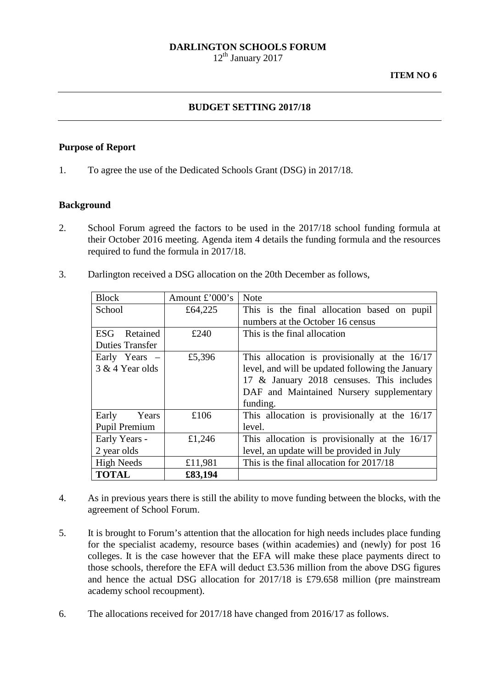#### **DARLINGTON SCHOOLS FORUM**

12<sup>th</sup> January 2017

### **BUDGET SETTING 2017/18**

#### **Purpose of Report**

1. To agree the use of the Dedicated Schools Grant (DSG) in 2017/18.

#### **Background**

- 2. School Forum agreed the factors to be used in the 2017/18 school funding formula at their October 2016 meeting. Agenda item 4 details the funding formula and the resources required to fund the formula in 2017/18.
- 3. Darlington received a DSG allocation on the 20th December as follows,

| <b>Block</b>           | Amount $\pounds$ '000's | <b>Note</b>                                      |  |
|------------------------|-------------------------|--------------------------------------------------|--|
| School                 | £64,225                 | This is the final allocation based on pupil      |  |
|                        |                         | numbers at the October 16 census                 |  |
| ESG.<br>Retained       | £240                    | This is the final allocation                     |  |
| <b>Duties Transfer</b> |                         |                                                  |  |
| Early Years -          | £5,396                  | This allocation is provisionally at the 16/17    |  |
| 3 & 4 Year olds        |                         | level, and will be updated following the January |  |
|                        |                         | 17 & January 2018 censuses. This includes        |  |
|                        |                         | DAF and Maintained Nursery supplementary         |  |
|                        |                         | funding.                                         |  |
| Early<br>Years         | £106                    | This allocation is provisionally at the 16/17    |  |
| Pupil Premium          |                         | level.                                           |  |
| Early Years -          | £1,246                  | This allocation is provisionally at the 16/17    |  |
| 2 year olds            |                         | level, an update will be provided in July        |  |
| <b>High Needs</b>      | £11,981                 | This is the final allocation for 2017/18         |  |
| <b>TOTAL</b>           | £83,194                 |                                                  |  |

- 4. As in previous years there is still the ability to move funding between the blocks, with the agreement of School Forum.
- 5. It is brought to Forum's attention that the allocation for high needs includes place funding for the specialist academy, resource bases (within academies) and (newly) for post 16 colleges. It is the case however that the EFA will make these place payments direct to those schools, therefore the EFA will deduct £3.536 million from the above DSG figures and hence the actual DSG allocation for 2017/18 is £79.658 million (pre mainstream academy school recoupment).
- 6. The allocations received for 2017/18 have changed from 2016/17 as follows.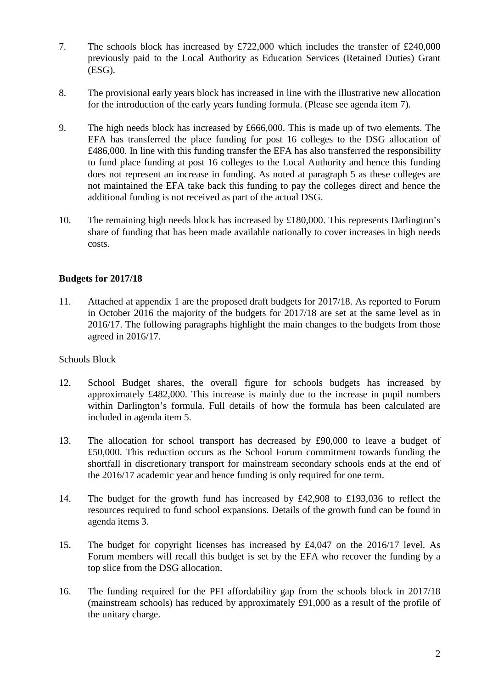- 7. The schools block has increased by £722,000 which includes the transfer of £240,000 previously paid to the Local Authority as Education Services (Retained Duties) Grant (ESG).
- 8. The provisional early years block has increased in line with the illustrative new allocation for the introduction of the early years funding formula. (Please see agenda item 7).
- 9. The high needs block has increased by £666,000. This is made up of two elements. The EFA has transferred the place funding for post 16 colleges to the DSG allocation of £486,000. In line with this funding transfer the EFA has also transferred the responsibility to fund place funding at post 16 colleges to the Local Authority and hence this funding does not represent an increase in funding. As noted at paragraph 5 as these colleges are not maintained the EFA take back this funding to pay the colleges direct and hence the additional funding is not received as part of the actual DSG.
- 10. The remaining high needs block has increased by £180,000. This represents Darlington's share of funding that has been made available nationally to cover increases in high needs costs.

# **Budgets for 2017/18**

11. Attached at appendix 1 are the proposed draft budgets for 2017/18. As reported to Forum in October 2016 the majority of the budgets for 2017/18 are set at the same level as in 2016/17. The following paragraphs highlight the main changes to the budgets from those agreed in 2016/17.

# Schools Block

- 12. School Budget shares, the overall figure for schools budgets has increased by approximately £482,000. This increase is mainly due to the increase in pupil numbers within Darlington's formula. Full details of how the formula has been calculated are included in agenda item 5.
- 13. The allocation for school transport has decreased by £90,000 to leave a budget of £50,000. This reduction occurs as the School Forum commitment towards funding the shortfall in discretionary transport for mainstream secondary schools ends at the end of the 2016/17 academic year and hence funding is only required for one term.
- 14. The budget for the growth fund has increased by £42,908 to £193,036 to reflect the resources required to fund school expansions. Details of the growth fund can be found in agenda items 3.
- 15. The budget for copyright licenses has increased by £4,047 on the 2016/17 level. As Forum members will recall this budget is set by the EFA who recover the funding by a top slice from the DSG allocation.
- 16. The funding required for the PFI affordability gap from the schools block in 2017/18 (mainstream schools) has reduced by approximately £91,000 as a result of the profile of the unitary charge.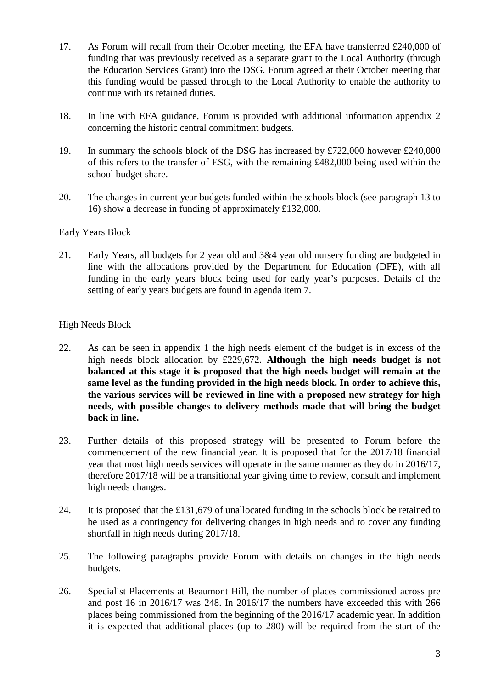- 17. As Forum will recall from their October meeting, the EFA have transferred £240,000 of funding that was previously received as a separate grant to the Local Authority (through the Education Services Grant) into the DSG. Forum agreed at their October meeting that this funding would be passed through to the Local Authority to enable the authority to continue with its retained duties.
- 18. In line with EFA guidance, Forum is provided with additional information appendix 2 concerning the historic central commitment budgets.
- 19. In summary the schools block of the DSG has increased by £722,000 however £240,000 of this refers to the transfer of ESG, with the remaining £482,000 being used within the school budget share.
- 20. The changes in current year budgets funded within the schools block (see paragraph 13 to 16) show a decrease in funding of approximately £132,000.

### Early Years Block

21. Early Years, all budgets for 2 year old and 3&4 year old nursery funding are budgeted in line with the allocations provided by the Department for Education (DFE), with all funding in the early years block being used for early year's purposes. Details of the setting of early years budgets are found in agenda item 7.

# High Needs Block

- 22. As can be seen in appendix 1 the high needs element of the budget is in excess of the high needs block allocation by £229,672. **Although the high needs budget is not balanced at this stage it is proposed that the high needs budget will remain at the same level as the funding provided in the high needs block. In order to achieve this, the various services will be reviewed in line with a proposed new strategy for high needs, with possible changes to delivery methods made that will bring the budget back in line.**
- 23. Further details of this proposed strategy will be presented to Forum before the commencement of the new financial year. It is proposed that for the 2017/18 financial year that most high needs services will operate in the same manner as they do in 2016/17, therefore 2017/18 will be a transitional year giving time to review, consult and implement high needs changes.
- 24. It is proposed that the £131,679 of unallocated funding in the schools block be retained to be used as a contingency for delivering changes in high needs and to cover any funding shortfall in high needs during 2017/18.
- 25. The following paragraphs provide Forum with details on changes in the high needs budgets.
- 26. Specialist Placements at Beaumont Hill, the number of places commissioned across pre and post 16 in 2016/17 was 248. In 2016/17 the numbers have exceeded this with 266 places being commissioned from the beginning of the 2016/17 academic year. In addition it is expected that additional places (up to 280) will be required from the start of the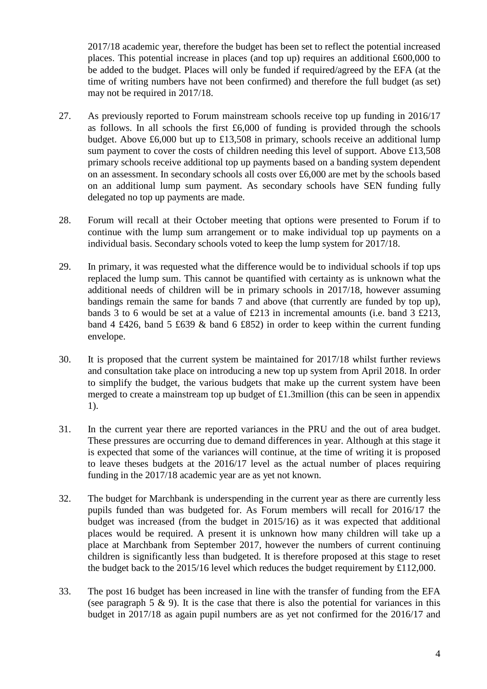2017/18 academic year, therefore the budget has been set to reflect the potential increased places. This potential increase in places (and top up) requires an additional £600,000 to be added to the budget. Places will only be funded if required/agreed by the EFA (at the time of writing numbers have not been confirmed) and therefore the full budget (as set) may not be required in 2017/18.

- 27. As previously reported to Forum mainstream schools receive top up funding in 2016/17 as follows. In all schools the first  $£6,000$  of funding is provided through the schools budget. Above £6,000 but up to £13,508 in primary, schools receive an additional lump sum payment to cover the costs of children needing this level of support. Above £13,508 primary schools receive additional top up payments based on a banding system dependent on an assessment. In secondary schools all costs over £6,000 are met by the schools based on an additional lump sum payment. As secondary schools have SEN funding fully delegated no top up payments are made.
- 28. Forum will recall at their October meeting that options were presented to Forum if to continue with the lump sum arrangement or to make individual top up payments on a individual basis. Secondary schools voted to keep the lump system for 2017/18.
- 29. In primary, it was requested what the difference would be to individual schools if top ups replaced the lump sum. This cannot be quantified with certainty as is unknown what the additional needs of children will be in primary schools in 2017/18, however assuming bandings remain the same for bands 7 and above (that currently are funded by top up), bands 3 to 6 would be set at a value of £213 in incremental amounts (i.e. band 3 £213, band 4 £426, band 5 £639 & band 6 £852) in order to keep within the current funding envelope.
- 30. It is proposed that the current system be maintained for 2017/18 whilst further reviews and consultation take place on introducing a new top up system from April 2018. In order to simplify the budget, the various budgets that make up the current system have been merged to create a mainstream top up budget of £1.3million (this can be seen in appendix 1).
- 31. In the current year there are reported variances in the PRU and the out of area budget. These pressures are occurring due to demand differences in year. Although at this stage it is expected that some of the variances will continue, at the time of writing it is proposed to leave theses budgets at the 2016/17 level as the actual number of places requiring funding in the 2017/18 academic year are as yet not known.
- 32. The budget for Marchbank is underspending in the current year as there are currently less pupils funded than was budgeted for. As Forum members will recall for 2016/17 the budget was increased (from the budget in 2015/16) as it was expected that additional places would be required. A present it is unknown how many children will take up a place at Marchbank from September 2017, however the numbers of current continuing children is significantly less than budgeted. It is therefore proposed at this stage to reset the budget back to the 2015/16 level which reduces the budget requirement by £112,000.
- 33. The post 16 budget has been increased in line with the transfer of funding from the EFA (see paragraph  $5 \& 9$ ). It is the case that there is also the potential for variances in this budget in 2017/18 as again pupil numbers are as yet not confirmed for the 2016/17 and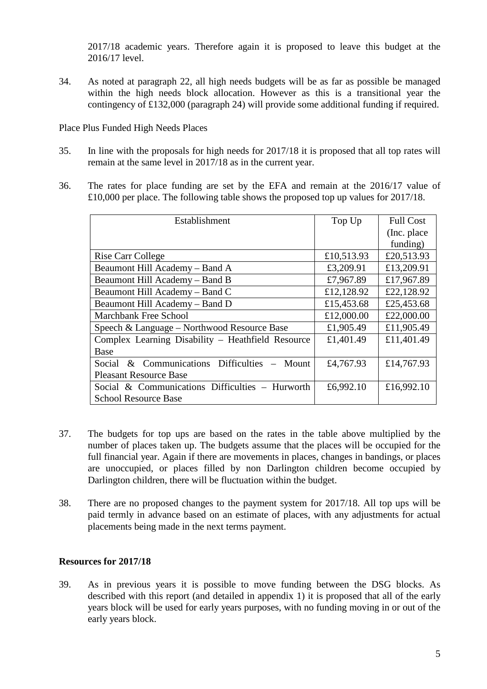2017/18 academic years. Therefore again it is proposed to leave this budget at the 2016/17 level.

34. As noted at paragraph 22, all high needs budgets will be as far as possible be managed within the high needs block allocation. However as this is a transitional year the contingency of £132,000 (paragraph 24) will provide some additional funding if required.

Place Plus Funded High Needs Places

- 35. In line with the proposals for high needs for 2017/18 it is proposed that all top rates will remain at the same level in 2017/18 as in the current year.
- 36. The rates for place funding are set by the EFA and remain at the 2016/17 value of £10,000 per place. The following table shows the proposed top up values for 2017/18.

| Establishment                                     | Top Up     | <b>Full Cost</b> |
|---------------------------------------------------|------------|------------------|
|                                                   |            | (Inc. place)     |
|                                                   |            | funding)         |
| <b>Rise Carr College</b>                          | £10,513.93 | £20,513.93       |
| Beaumont Hill Academy - Band A                    | £3,209.91  | £13,209.91       |
| Beaumont Hill Academy - Band B                    | £7,967.89  | £17,967.89       |
| Beaumont Hill Academy – Band C                    | £12,128.92 | £22,128.92       |
| Beaumont Hill Academy - Band D                    | £15,453.68 | £25,453.68       |
| <b>Marchbank Free School</b>                      | £12,000.00 | £22,000.00       |
| Speech & Language – Northwood Resource Base       | £1,905.49  | £11,905.49       |
| Complex Learning Disability - Heathfield Resource | £1,401.49  | £11,401.49       |
| Base                                              |            |                  |
| & Communications Difficulties<br>Social<br>Mount  | £4,767.93  | £14,767.93       |
| <b>Pleasant Resource Base</b>                     |            |                  |
| Social & Communications Difficulties - Hurworth   | £6,992.10  | £16,992.10       |
| <b>School Resource Base</b>                       |            |                  |

- 37. The budgets for top ups are based on the rates in the table above multiplied by the number of places taken up. The budgets assume that the places will be occupied for the full financial year. Again if there are movements in places, changes in bandings, or places are unoccupied, or places filled by non Darlington children become occupied by Darlington children, there will be fluctuation within the budget.
- 38. There are no proposed changes to the payment system for 2017/18. All top ups will be paid termly in advance based on an estimate of places, with any adjustments for actual placements being made in the next terms payment.

#### **Resources for 2017/18**

39. As in previous years it is possible to move funding between the DSG blocks. As described with this report (and detailed in appendix 1) it is proposed that all of the early years block will be used for early years purposes, with no funding moving in or out of the early years block.